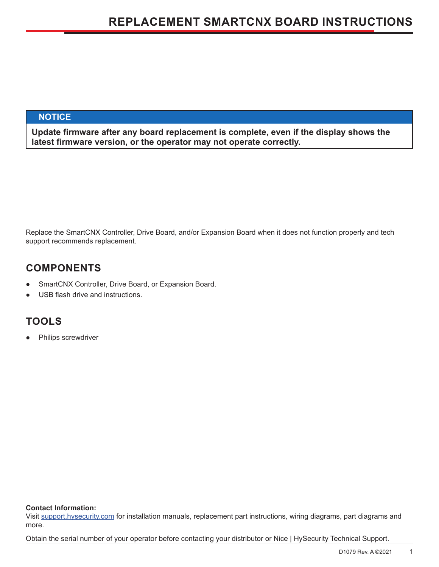## **NOTICE**

**Update firmware after any board replacement is complete, even if the display shows the latest firmware version, or the operator may not operate correctly.**

Replace the SmartCNX Controller, Drive Board, and/or Expansion Board when it does not function properly and tech support recommends replacement.

# **COMPONENTS**

- SmartCNX Controller, Drive Board, or Expansion Board.
- USB flash drive and instructions.

# **TOOLS**

Philips screwdriver

#### **Contact Information:**

Visit support.hysecurity.com for installation manuals, replacement part instructions, wiring diagrams, part diagrams and more.

Obtain the serial number of your operator before contacting your distributor or Nice | HySecurity Technical Support.